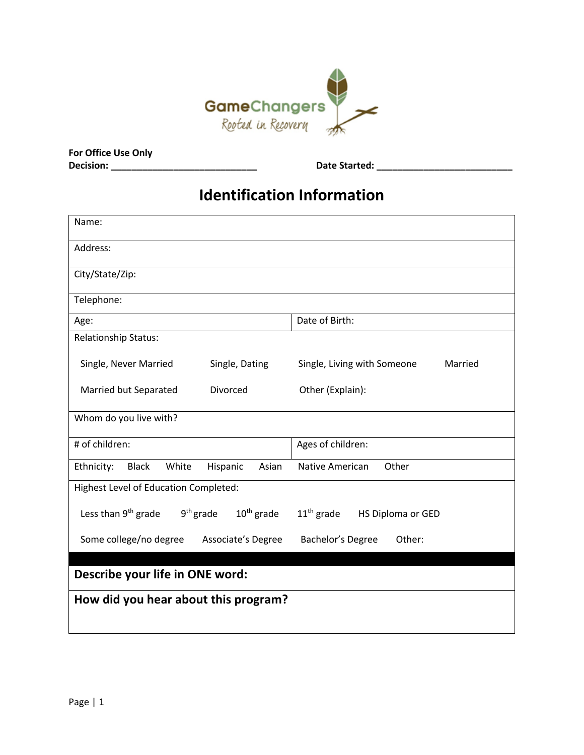

**For Office Use Only**

**Decision: \_\_\_\_\_\_\_\_\_\_\_\_\_\_\_\_\_\_\_\_\_\_\_\_\_\_\_\_ Date Started: \_\_\_\_\_\_\_\_\_\_\_\_\_\_\_\_\_\_\_\_\_\_\_\_\_\_**

## **Identification Information**

| Name:                                                          |                                        |  |  |
|----------------------------------------------------------------|----------------------------------------|--|--|
| Address:                                                       |                                        |  |  |
| City/State/Zip:                                                |                                        |  |  |
| Telephone:                                                     |                                        |  |  |
| Age:                                                           | Date of Birth:                         |  |  |
| <b>Relationship Status:</b>                                    |                                        |  |  |
| Single, Never Married<br>Single, Dating                        | Single, Living with Someone<br>Married |  |  |
| Married but Separated<br>Divorced                              | Other (Explain):                       |  |  |
| Whom do you live with?                                         |                                        |  |  |
| # of children:                                                 | Ages of children:                      |  |  |
| <b>Black</b><br>White<br>Hispanic<br>Ethnicity:<br>Asian       | Native American<br>Other               |  |  |
| Highest Level of Education Completed:                          |                                        |  |  |
| $9th$ grade<br>$10th$ grade<br>Less than 9 <sup>th</sup> grade | $11th$ grade<br>HS Diploma or GED      |  |  |
| Some college/no degree<br>Associate's Degree                   | Bachelor's Degree<br>Other:            |  |  |
| Describe your life in ONE word:                                |                                        |  |  |
| How did you hear about this program?                           |                                        |  |  |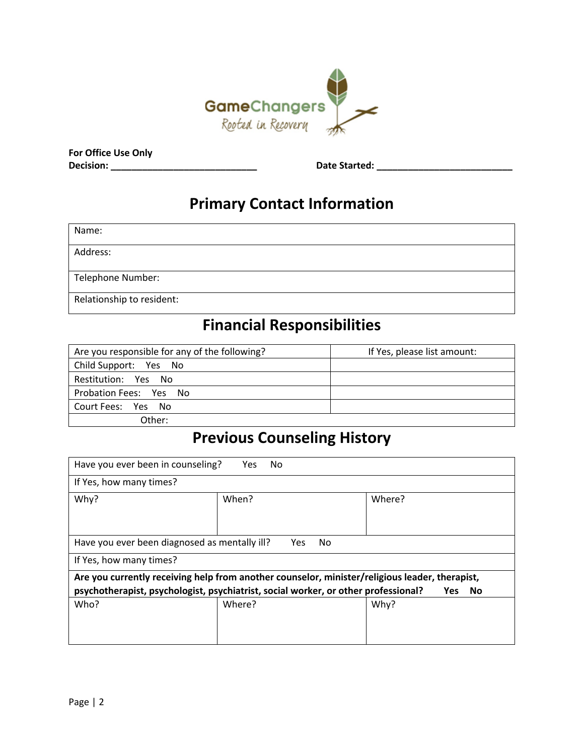

**For Office Use Only Decision: \_\_\_\_\_\_\_\_\_\_\_\_\_\_\_\_\_\_\_\_\_\_\_\_\_\_\_\_ Date Started: \_\_\_\_\_\_\_\_\_\_\_\_\_\_\_\_\_\_\_\_\_\_\_\_\_\_**

### **Primary Contact Information**

| Name:                     |  |
|---------------------------|--|
| Address:                  |  |
| Telephone Number:         |  |
| Relationship to resident: |  |

### **Financial Responsibilities**

| Are you responsible for any of the following? | If Yes, please list amount: |
|-----------------------------------------------|-----------------------------|
| Child Support: Yes No                         |                             |
| Restitution: Yes No                           |                             |
| Probation Fees: Yes No                        |                             |
| Court Fees: Yes No                            |                             |
| Other:                                        |                             |

#### **Previous Counseling History**

| Have you ever been in counseling?<br>Yes.<br>No                                                               |                   |        |  |
|---------------------------------------------------------------------------------------------------------------|-------------------|--------|--|
| If Yes, how many times?                                                                                       |                   |        |  |
| Why?                                                                                                          | When?             | Where? |  |
|                                                                                                               |                   |        |  |
|                                                                                                               |                   |        |  |
| Have you ever been diagnosed as mentally ill?                                                                 | No.<br><b>Yes</b> |        |  |
| If Yes, how many times?                                                                                       |                   |        |  |
| Are you currently receiving help from another counselor, minister/religious leader, therapist,                |                   |        |  |
| psychotherapist, psychologist, psychiatrist, social worker, or other professional?<br><b>Yes</b><br><b>No</b> |                   |        |  |
| Who?                                                                                                          | Where?            | Why?   |  |
|                                                                                                               |                   |        |  |
|                                                                                                               |                   |        |  |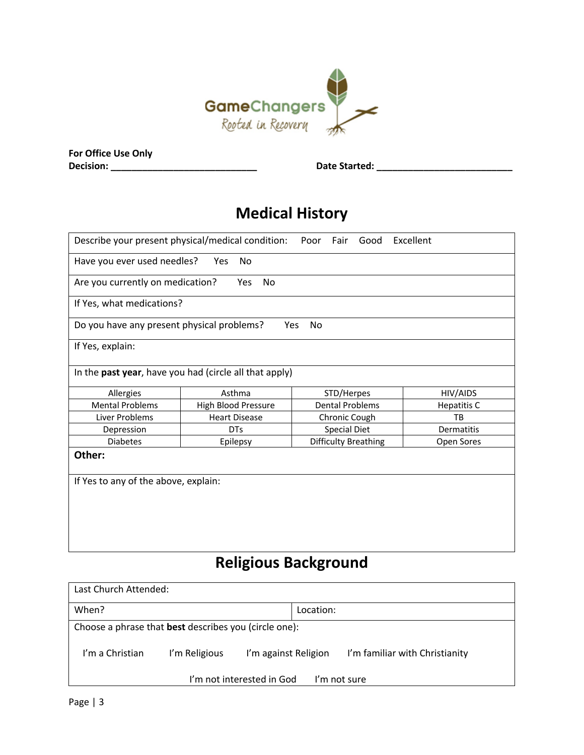

| For Office Use Only |  |
|---------------------|--|
| Decision:           |  |

**Decision: \_\_\_\_\_\_\_\_\_\_\_\_\_\_\_\_\_\_\_\_\_\_\_\_\_\_\_\_ Date Started: \_\_\_\_\_\_\_\_\_\_\_\_\_\_\_\_\_\_\_\_\_\_\_\_\_\_**

# **Medical History**

| Describe your present physical/medical condition:<br>Excellent<br>Poor<br>Fair<br>Good |                                                        |                        |            |  |                    |          |
|----------------------------------------------------------------------------------------|--------------------------------------------------------|------------------------|------------|--|--------------------|----------|
| Have you ever used needles?<br>No.<br><b>Yes</b>                                       |                                                        |                        |            |  |                    |          |
| Are you currently on medication?                                                       | <b>Yes</b><br>No                                       |                        |            |  |                    |          |
| If Yes, what medications?                                                              |                                                        |                        |            |  |                    |          |
| Do you have any present physical problems?                                             | <b>Yes</b>                                             | No                     |            |  |                    |          |
| If Yes, explain:                                                                       |                                                        |                        |            |  |                    |          |
|                                                                                        | In the past year, have you had (circle all that apply) |                        |            |  |                    |          |
| Allergies                                                                              | Asthma                                                 |                        | STD/Herpes |  |                    | HIV/AIDS |
| <b>Mental Problems</b>                                                                 | High Blood Pressure                                    | <b>Dental Problems</b> |            |  | <b>Hepatitis C</b> |          |
| Liver Problems                                                                         | <b>Heart Disease</b>                                   | Chronic Cough          |            |  | TB                 |          |
| Depression                                                                             | <b>DTs</b>                                             | <b>Special Diet</b>    |            |  | Dermatitis         |          |
| <b>Diabetes</b>                                                                        | Epilepsy                                               | Difficulty Breathing   |            |  | Open Sores         |          |
| Other:                                                                                 |                                                        |                        |            |  |                    |          |
| If Yes to any of the above, explain:                                                   |                                                        |                        |            |  |                    |          |
|                                                                                        |                                                        |                        |            |  |                    |          |
|                                                                                        |                                                        |                        |            |  |                    |          |
|                                                                                        |                                                        |                        |            |  |                    |          |
|                                                                                        |                                                        |                        |            |  |                    |          |
|                                                                                        |                                                        |                        |            |  |                    |          |

# **Religious Background**

| Last Church Attended:                                        |               |                      |                                |
|--------------------------------------------------------------|---------------|----------------------|--------------------------------|
| When?                                                        |               | Location:            |                                |
| Choose a phrase that <b>best</b> describes you (circle one): |               |                      |                                |
| I'm a Christian                                              | I'm Religious | I'm against Religion | I'm familiar with Christianity |
| I'm not interested in God<br>I'm not sure                    |               |                      |                                |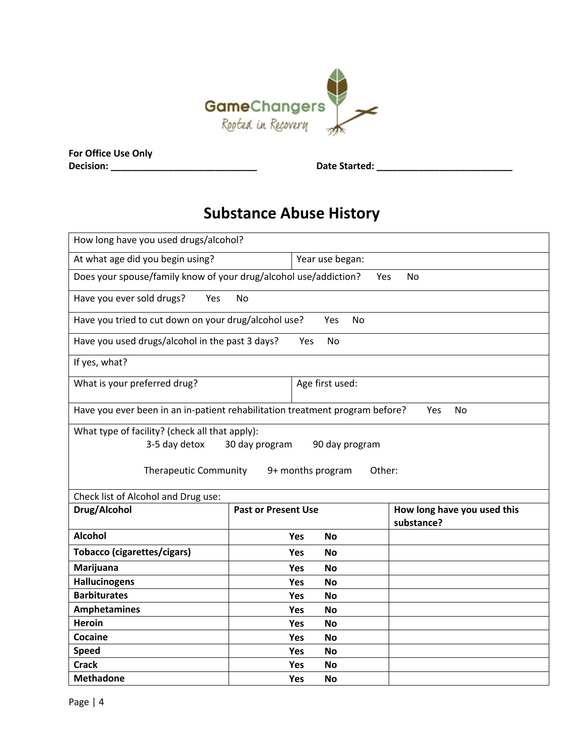

| For Office Use Only |  |
|---------------------|--|
| Decision:           |  |

**Decision: \_\_\_\_\_\_\_\_\_\_\_\_\_\_\_\_\_\_\_\_\_\_\_\_\_\_\_\_ Date Started: \_\_\_\_\_\_\_\_\_\_\_\_\_\_\_\_\_\_\_\_\_\_\_\_\_\_**

# **Substance Abuse History**

| How long have you used drugs/alcohol?                                                                                                                              |                            |                                           |  |  |
|--------------------------------------------------------------------------------------------------------------------------------------------------------------------|----------------------------|-------------------------------------------|--|--|
| At what age did you begin using?                                                                                                                                   |                            | Year use began:                           |  |  |
| Does your spouse/family know of your drug/alcohol use/addiction?                                                                                                   |                            | <b>No</b><br>Yes                          |  |  |
| Have you ever sold drugs?<br>Yes                                                                                                                                   | <b>No</b>                  |                                           |  |  |
| Have you tried to cut down on your drug/alcohol use?                                                                                                               | Yes                        | No                                        |  |  |
| Have you used drugs/alcohol in the past 3 days?                                                                                                                    | <b>No</b><br>Yes           |                                           |  |  |
| If yes, what?                                                                                                                                                      |                            |                                           |  |  |
| What is your preferred drug?                                                                                                                                       | Age first used:            |                                           |  |  |
| Have you ever been in an in-patient rehabilitation treatment program before?                                                                                       |                            | Yes<br>No                                 |  |  |
| What type of facility? (check all that apply):<br>3-5 day detox<br>30 day program<br>90 day program<br><b>Therapeutic Community</b><br>Other:<br>9+ months program |                            |                                           |  |  |
| Check list of Alcohol and Drug use:                                                                                                                                |                            |                                           |  |  |
| Drug/Alcohol                                                                                                                                                       | <b>Past or Present Use</b> | How long have you used this<br>substance? |  |  |
| <b>Alcohol</b>                                                                                                                                                     | <b>Yes</b><br><b>No</b>    |                                           |  |  |
| <b>Tobacco (cigarettes/cigars)</b>                                                                                                                                 | <b>No</b><br>Yes           |                                           |  |  |
| Marijuana                                                                                                                                                          | Yes<br><b>No</b>           |                                           |  |  |
| <b>Hallucinogens</b>                                                                                                                                               | <b>No</b><br>Yes           |                                           |  |  |
| <b>Barbiturates</b>                                                                                                                                                | Yes<br><b>No</b>           |                                           |  |  |
| <b>Amphetamines</b>                                                                                                                                                | Yes<br><b>No</b>           |                                           |  |  |
| <b>Heroin</b>                                                                                                                                                      | <b>Yes</b><br>No           |                                           |  |  |
| Cocaine                                                                                                                                                            | <b>No</b><br>Yes           |                                           |  |  |
| <b>Speed</b>                                                                                                                                                       | Yes<br><b>No</b>           |                                           |  |  |
| <b>Crack</b>                                                                                                                                                       | Yes<br><b>No</b>           |                                           |  |  |
| <b>Methadone</b>                                                                                                                                                   | Yes<br><b>No</b>           |                                           |  |  |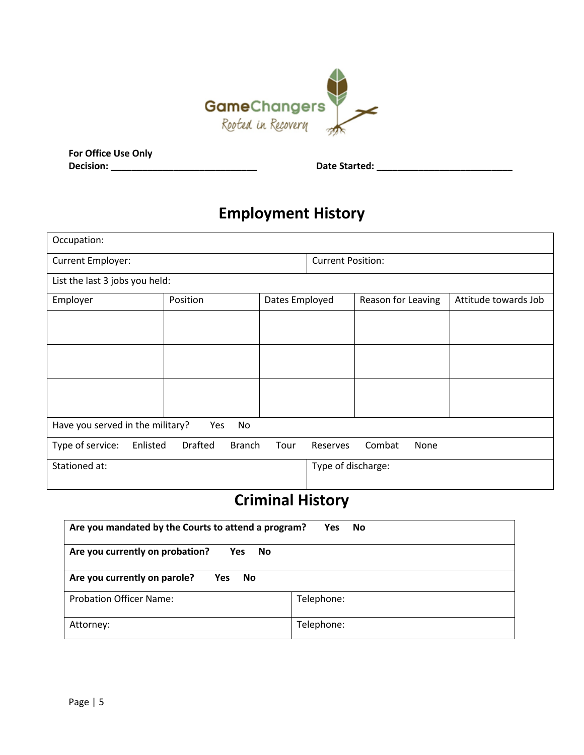

| <b>For Office Use Only</b> |  |  |
|----------------------------|--|--|
| Decision:                  |  |  |

**Decision: \_\_\_\_\_\_\_\_\_\_\_\_\_\_\_\_\_\_\_\_\_\_\_\_\_\_\_\_ Date Started: \_\_\_\_\_\_\_\_\_\_\_\_\_\_\_\_\_\_\_\_\_\_\_\_\_\_**

# **Employment History**

| Occupation:                                   |          |                          |                    |                    |                      |
|-----------------------------------------------|----------|--------------------------|--------------------|--------------------|----------------------|
| Current Employer:                             |          | <b>Current Position:</b> |                    |                    |                      |
| List the last 3 jobs you held:                |          |                          |                    |                    |                      |
| Employer                                      | Position | Dates Employed           |                    | Reason for Leaving | Attitude towards Job |
|                                               |          |                          |                    |                    |                      |
|                                               |          |                          |                    |                    |                      |
|                                               |          |                          |                    |                    |                      |
| Have you served in the military?<br>Yes<br>No |          |                          |                    |                    |                      |
| Type of service:<br>Enlisted                  | Drafted  | <b>Branch</b><br>Tour    | Reserves           | Combat<br>None     |                      |
| Stationed at:                                 |          |                          | Type of discharge: |                    |                      |

## **Criminal History**

| Are you mandated by the Courts to attend a program?<br><b>Yes</b><br>No |            |  |  |  |
|-------------------------------------------------------------------------|------------|--|--|--|
| Are you currently on probation?<br><b>Yes</b><br>No.                    |            |  |  |  |
| Are you currently on parole?<br><b>Yes</b><br><b>No</b>                 |            |  |  |  |
| <b>Probation Officer Name:</b>                                          | Telephone: |  |  |  |
| Attorney:                                                               | Telephone: |  |  |  |